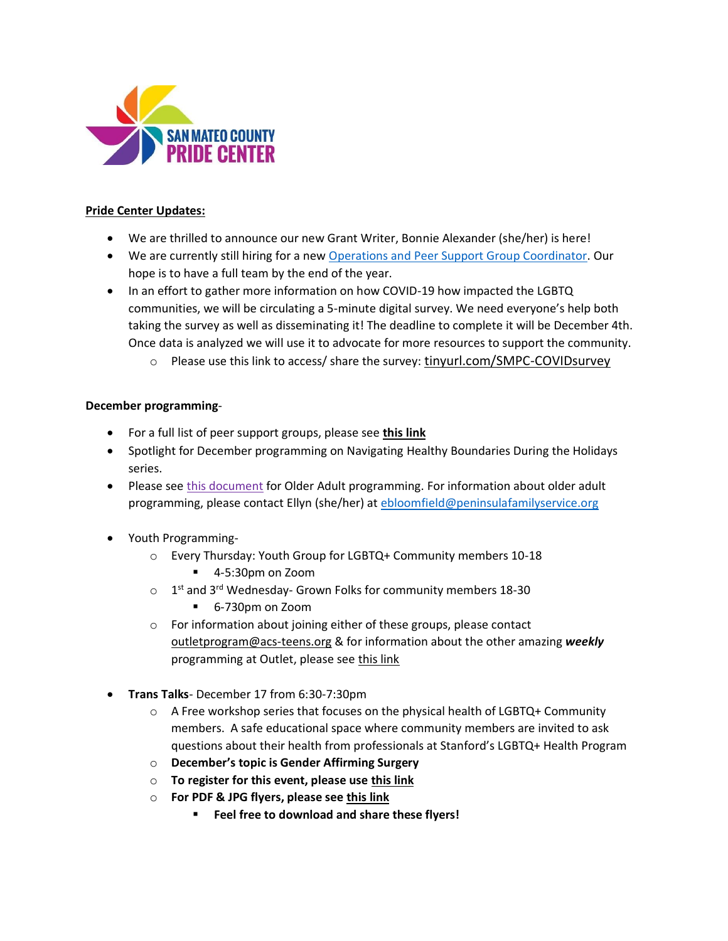

#### **Pride Center Updates:**

- We are thrilled to announce our new Grant Writer, Bonnie Alexander (she/her) is here!
- We are currently still hiring for a new [Operations and Peer Support Group Coordinator.](https://b89.733.myftpupload.com/wp-content/uploads/2020/10/SMC-Pride-Operations-and-Peer-Support-Group-Coordinator.pdf) Our hope is to have a full team by the end of the year.
- In an effort to gather more information on how COVID-19 how impacted the LGBTQ communities, we will be circulating a 5-minute digital survey. We need everyone's help both taking the survey as well as disseminating it! The deadline to complete it will be December 4th. Once data is analyzed we will use it to advocate for more resources to support the community.
	- $\circ$  Please use this link to access/ share the survey: [tinyurl.com/SMPC-COVIDsurvey](http://tinyurl.com/SMPC-COVIDsurvey)

#### **December programming**-

- For a full list of peer support groups, please see **[this link](https://drive.google.com/file/d/17lMrU3SKf-9ssEEpwur9ukMsOYdtiy__/view?usp=sharing)**
- Spotlight for December programming on Navigating Healthy Boundaries During the Holidays series.
- Please see [this document](https://docs.google.com/document/d/1ATJlSBgiCSco6KxQhUfG97UAHkkuQw8NDwkUlQQwwp4/edit?usp=sharing) for Older Adult programming. For information about older adult programming, please contact Ellyn (she/her) at [ebloomfield@peninsulafamilyservice.org](mailto:ebloomfield@peninsulafamilyservice.org)
- Youth Programming
	- o Every Thursday: Youth Group for LGBTQ+ Community members 10-18
		- 4-5:30pm on Zoom
	- $\circ$  1<sup>st</sup> and 3<sup>rd</sup> Wednesday- Grown Folks for community members 18-30
		- 6-730pm on Zoom
	- o For information about joining either of these groups, please contact [outletprogram@acs-teens.org](mailto:outletprogram@acs-teens.org) & for information about the other amazing *weekly* programming at Outlet, please see [this link](https://www.acs-teens.org/what-we-do/outlet/)
- **Trans Talks** December 17 from 6:30-7:30pm
	- $\circ$  A Free workshop series that focuses on the physical health of LGBTQ+ Community members. A safe educational space where community members are invited to ask questions about their health from professionals at Stanford's LGBTQ+ Health Program
	- o **December's topic is Gender Affirming Surgery**
	- o **To register for this event, please use [this link](https://tinyurl.com/transtalk11-19)**
	- o **For PDF & JPG flyers, please see [this link](https://drive.google.com/drive/u/0/folders/15qSv9YDnRTSo-GjOFY6-iMEvCUD2wcIX)**
		- **Feel free to download and share these flyers!**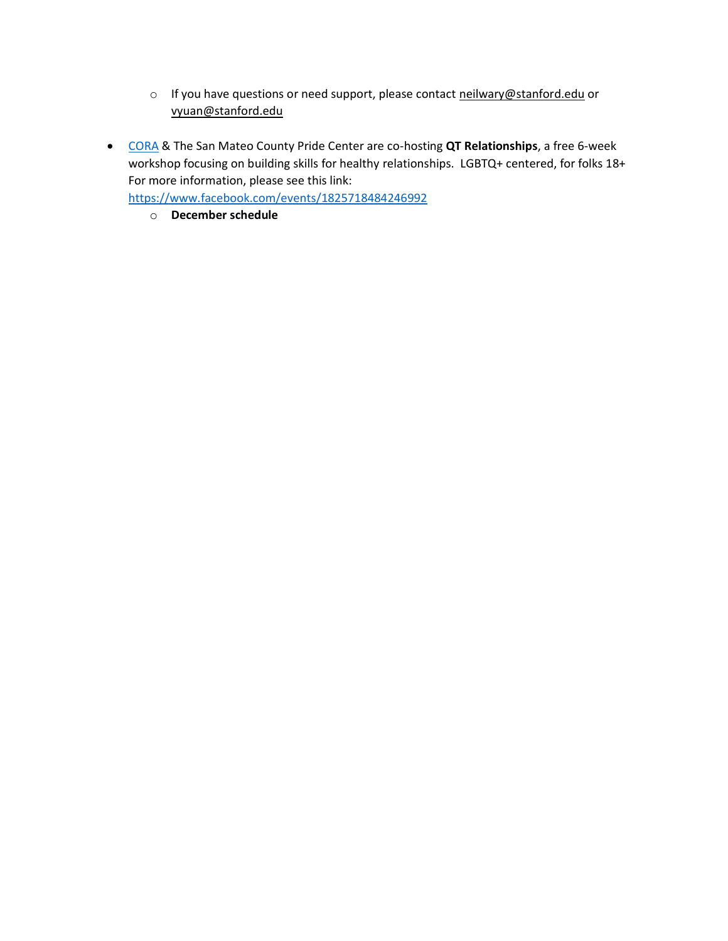- o If you have questions or need support, please contact [neilwary@stanford.edu](mailto:neilwary@stanford.edu) or [vyuan@stanford.edu](mailto:vyuan@stanford.edu)
- [CORA](https://www.corasupport.org/) & The San Mateo County Pride Center are co-hosting **QT Relationships**, a free 6-week workshop focusing on building skills for healthy relationships. LGBTQ+ centered, for folks 18+ For more information, please see this link:

<https://www.facebook.com/events/1825718484246992>

o **December schedule**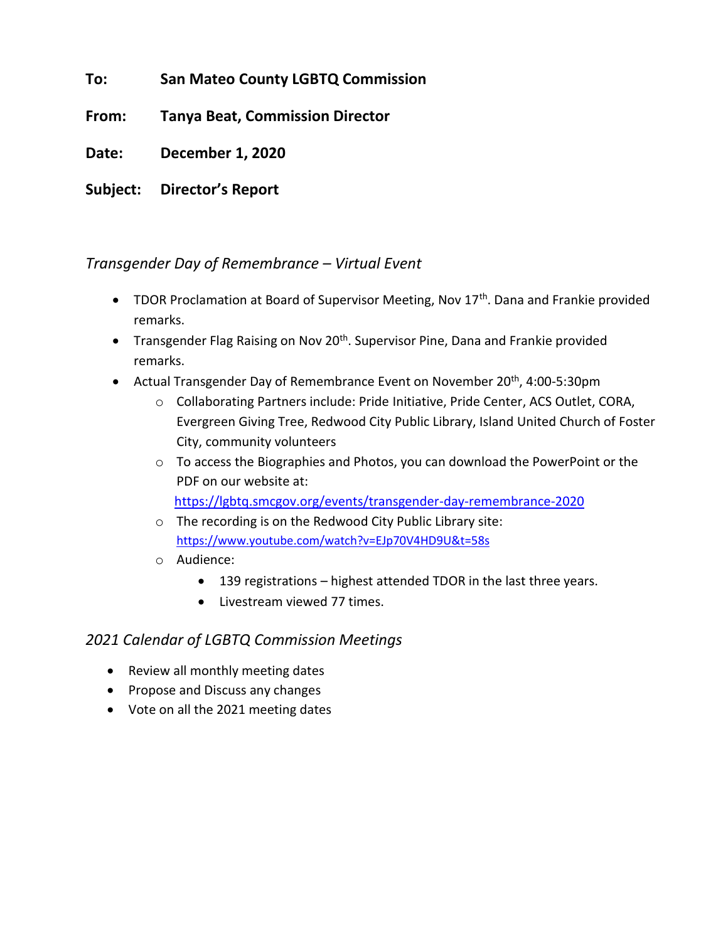**To: San Mateo County LGBTQ Commission**

**From: Tanya Beat, Commission Director**

**Date: December 1, 2020**

**Subject: Director's Report**

## *Transgender Day of Remembrance – Virtual Event*

- TDOR Proclamation at Board of Supervisor Meeting, Nov 17<sup>th</sup>. Dana and Frankie provided remarks.
- Transgender Flag Raising on Nov 20<sup>th</sup>. Supervisor Pine, Dana and Frankie provided remarks.
- Actual Transgender Day of Remembrance Event on November 20<sup>th</sup>, 4:00-5:30pm
	- o Collaborating Partners include: Pride Initiative, Pride Center, ACS Outlet, CORA, Evergreen Giving Tree, Redwood City Public Library, Island United Church of Foster City, community volunteers
	- o To access the Biographies and Photos, you can download the PowerPoint or the PDF on our website at:

<https://lgbtq.smcgov.org/events/transgender-day-remembrance-2020>

- o The recording is on the Redwood City Public Library site: <https://www.youtube.com/watch?v=EJp70V4HD9U&t=58s>
- o Audience:
	- 139 registrations highest attended TDOR in the last three years.
	- Livestream viewed 77 times.

## *2021 Calendar of LGBTQ Commission Meetings*

- Review all monthly meeting dates
- Propose and Discuss any changes
- Vote on all the 2021 meeting dates